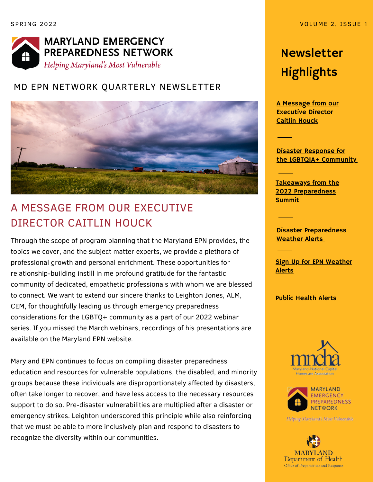

#### MD EPN NETWORK QUARTERLY NEWSLETTER



## A MESSAGE FROM OUR EXECUTIVE DIRECTOR CAITLIN HOUCK

Through the scope of program planning that the Maryland EPN provides, the topics we cover, and the subject matter experts, we provide a plethora of professional growth and personal enrichment. These opportunities for relationship-building instill in me profound gratitude for the fantastic community of dedicated, empathetic professionals with whom we are blessed to connect. We want to extend our sincere thanks to Leighton Jones, ALM, CEM, for thoughtfully leading us through emergency preparedness considerations for the LGBTQ+ community as a part of our 2022 webinar series. If you missed the March webinars, recordings of his presentations are available on the Maryland EPN website.

Maryland EPN continues to focus on compiling disaster preparedness education and resources for vulnerable populations, the disabled, and minority groups because these individuals are disproportionately affected by disasters, often take longer to recover, and have less access to the necessary resources support to do so. Pre-disaster vulnerabilities are multiplied after a disaster or emergency strikes. Leighton underscored this principle while also reinforcing that we must be able to more inclusively plan and respond to disasters to recognize the diversity within our communities.

# Newsletter Highlights

A Message from our Executive Director Caitlin Houck

Disaster Response for the LGBTQIA+ [Community](#page-1-0)

Takeaways from the 2022 [Preparedness](#page-2-0) Summi[t](#page-2-0)

Disaster [Preparedness](#page-2-0) Weather Alert[s](#page-2-0)

**Sign Up for EPN [Weather](#page-3-0)** Alerts

Public [Health](#page-3-0) Alerts





Helping Maryland's Most Vulnerable

**MARYLAND** Department of Health Office of Preparedness and Response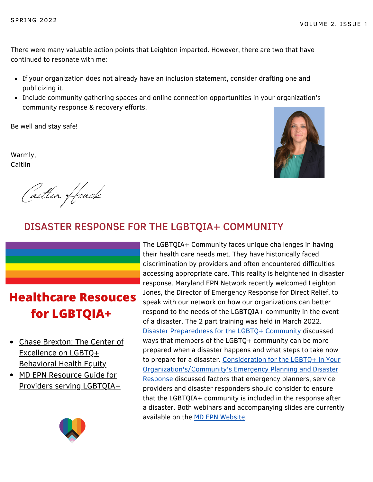<span id="page-1-0"></span>There were many valuable action points that Leighton imparted. However, there are two that have continued to resonate with me:

- If your organization does not already have an inclusion statement, consider drafting one and publicizing it.
- Include community gathering spaces and online connection opportunities in your organization's community response & recovery efforts.

Be well and stay safe!

Warmly, Caitlin

Caitlin Houck



#### DISASTER RESPONSE FOR THE LGBTQIA+ COMMUNITY

## **Healthcare Resouces for LGBTQIA+**

- Chase [Brexton:](https://www.chasebrexton.org/services/center-lgbtq-health-equity) The Center of Excellence on LGBTQ+ [Behavioral](https://www.chasebrexton.org/services/center-lgbtq-health-equity) Health Equity
- MD EPN Resource Guide for Providers serving [LGBTQIA+](https://www.mdemergencyprepnetwork.org/page-1075383)



The LGBTQIA+ Community faces unique challenges in having their health care needs met. They have historically faced discrimination by providers and often encountered difficulties accessing appropriate care. This reality is heightened in disaster response. Maryland EPN Network recently welcomed Leighton Jones, the Director of Emergency Response for Direct Relief, to speak with our network on how our organizations can better respond to the needs of the LGBTQIA+ community in the event of a disaster. The 2 part training was held in March 2022. Disaster [Preparedness](https://www.youtube.com/watch?v=wd8B4f_Jx5U) for the LGBTQ+ Community discussed ways that members of the LGBTQ+ community can be more prepared when a disaster happens and what steps to take now to prepare for a disaster. Consideration for the LGBTQ+ in Your [Organization's/Community's](https://www.youtube.com/watch?v=5dSbQBdAKcg) Emergency Planning and Disaster Response discussed factors that emergency planners, service providers and disaster responders should consider to ensure that the LGBTQIA+ community is included in the response after a disaster. Both webinars and accompanying slides are currently available on the MD EPN [Website](https://www.mdemergencyprepnetwork.org/page-1075383).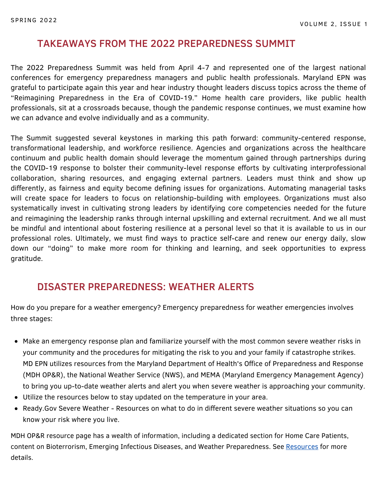#### <span id="page-2-0"></span>TAKEAWAYS FROM THE 2022 PREPAREDNESS SUMMIT

professionals, sit at a crossroads because, though the pandemic response continues, we must examine how The 2022 Preparedness Summit was held from April 4-7 and represented one of the largest national conferences for emergency preparedness managers and public health professionals. Maryland EPN was grateful to participate again this year and hear industry thought leaders discuss topics across the theme of "Reimagining Preparedness in the Era of COVID-19." Home health care providers, like public health we can advance and evolve individually and as a community.

The Summit suggested several keystones in marking this path forward: community-centered response, transformational leadership, and workforce resilience. Agencies and organizations across the healthcare continuum and public health domain should leverage the momentum gained through partnerships during the COVID-19 response to bolster their community-level response efforts by cultivating interprofessional collaboration, sharing resources, and engaging external partners. Leaders must think and show up differently, as fairness and equity become defining issues for organizations. Automating managerial tasks will create space for leaders to focus on relationship-building with employees. Organizations must also systematically invest in cultivating strong leaders by identifying core competencies needed for the future and reimagining the leadership ranks through internal upskilling and external recruitment. And we all must be mindful and intentional about fostering resilience at a personal level so that it is available to us in our professional roles. Ultimately, we must find ways to practice self-care and renew our energy daily, slow down our "doing" to make more room for thinking and learning, and seek opportunities to express gratitude.

#### DISASTER PREPAREDNESS: WEATHER ALERTS

How do you prepare for a weather emergency? Emergency preparedness for weather emergencies involves three stages:

- Make an emergency response plan and familiarize yourself with the most common severe weather risks in your community and the procedures for mitigating the risk to you and your family if catastrophe strikes. MD EPN utilizes resources from the Maryland Department of Health's Office of Preparedness and Response (MDH OP&R), the National Weather Service (NWS), and MEMA (Maryland Emergency Management Agency) to bring you up-to-date weather alerts and alert you when severe weather is approaching your community.
- Utilize the resources below to stay updated on the temperature in your area.
- [Ready.Gov](https://www.ready.gov/severe-weather) Severe Weather Resources on what to do in different severe weather situations so you can know your risk where you live.

MDH OP&R resource page has a wealth of information, including a dedicated section for Home Care Patients, content on Bioterrorism, Emerging Infectious Diseases, and Weather Preparedness. See [Resources](https://health.maryland.gov/preparedness/Pages/Resources.aspx) for more details.